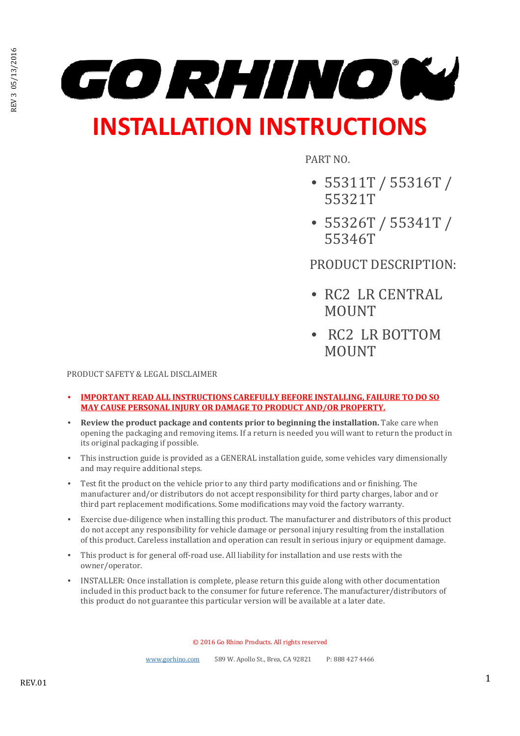

# **INSTALLATION INSTRUCTIONS**

PART NO.

- 55311T / 55316T / 55321T
- 55326T / 55341T / 55346T

PRODUCT DESCRIPTION:

- RC2 LR CENTRAL MOUNT
- RC2 LR BOTTOM **MOUNT**

PRODUCT SAFETY & LEGAL DISCLAIMER

- **IMPORTANT READ ALL INSTRUCTIONS CAREFULLY BEFORE INSTALLING, FAILURE TO DO SO MAY CAUSE PERSONAL INJURY OR DAMAGE TO PRODUCT AND/OR PROPERTY.**
- **Review the product package and contents prior to beginning the installation.** Take care when opening the packaging and removing items. If a return is needed you will want to return the product in its original packaging if possible.
- This instruction guide is provided as a GENERAL installation guide, some vehicles vary dimensionally and may require additional steps.
- Test fit the product on the vehicle prior to any third party modifications and or finishing. The manufacturer and/or distributors do not accept responsibility for third party charges, labor and or third part replacement modifications. Some modifications may void the factory warranty.
- Exercise due-diligence when installing this product. The manufacturer and distributors of this product do not accept any responsibility for vehicle damage or personal injury resulting from the installation of this product. Careless installation and operation can result in serious injury or equipment damage.
- This product is for general off-road use. All liability for installation and use rests with the owner/operator.
- INSTALLER: Once installation is complete, please return this guide along with other documentation included in this product back to the consumer for future reference. The manufacturer/distributors of this product do not guarantee this particular version will be available at a later date.

© 2016 Go Rhino Products. All rights reserved

www.gorhino.com 589 W. Apollo St., Brea, CA 92821 P: 888 427 4466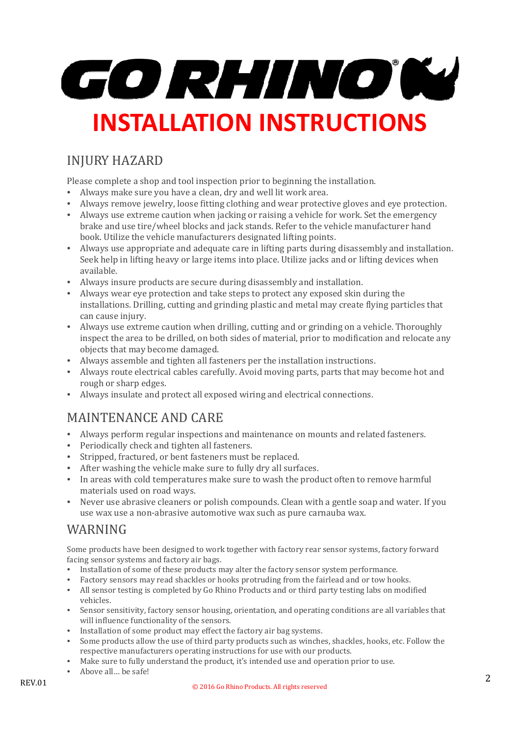

# INJURY HAZARD

Please complete a shop and tool inspection prior to beginning the installation.

- Always make sure you have a clean, dry and well lit work area.
- Always remove jewelry, loose fitting clothing and wear protective gloves and eye protection.
- Always use extreme caution when jacking or raising a vehicle for work. Set the emergency brake and use tire/wheel blocks and jack stands. Refer to the vehicle manufacturer hand book. Utilize the vehicle manufacturers designated lifting points.
- Always use appropriate and adequate care in lifting parts during disassembly and installation. Seek help in lifting heavy or large items into place. Utilize jacks and or lifting devices when available.
- Always insure products are secure during disassembly and installation.
- Always wear eye protection and take steps to protect any exposed skin during the installations. Drilling, cutting and grinding plastic and metal may create flying particles that can cause injury.
- Always use extreme caution when drilling, cutting and or grinding on a vehicle. Thoroughly inspect the area to be drilled, on both sides of material, prior to modification and relocate any objects that may become damaged.
- Always assemble and tighten all fasteners per the installation instructions.
- Always route electrical cables carefully. Avoid moving parts, parts that may become hot and rough or sharp edges.
- Always insulate and protect all exposed wiring and electrical connections.

#### MAINTENANCE AND CARE

- Always perform regular inspections and maintenance on mounts and related fasteners.
- Periodically check and tighten all fasteners.
- Stripped, fractured, or bent fasteners must be replaced.
- After washing the vehicle make sure to fully dry all surfaces.
- In areas with cold temperatures make sure to wash the product often to remove harmful materials used on road ways.
- Never use abrasive cleaners or polish compounds. Clean with a gentle soap and water. If you use wax use a non-abrasive automotive wax such as pure carnauba wax.

#### WARNING

Some products have been designed to work together with factory rear sensor systems, factory forward facing sensor systems and factory air bags.

- Installation of some of these products may alter the factory sensor system performance.
- Factory sensors may read shackles or hooks protruding from the fairlead and or tow hooks.
- All sensor testing is completed by Go Rhino Products and or third party testing labs on modified vehicles.
- Sensor sensitivity, factory sensor housing, orientation, and operating conditions are all variables that will influence functionality of the sensors.
- Installation of some product may effect the factory air bag systems.
- Some products allow the use of third party products such as winches, shackles, hooks, etc. Follow the respective manufacturers operating instructions for use with our products.
- Make sure to fully understand the product, it's intended use and operation prior to use.
- Above all… be safe!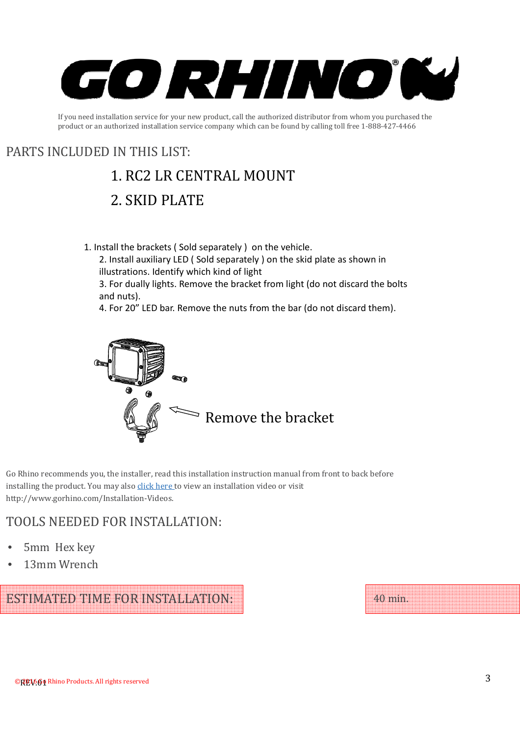

If you need installation service for your new product, call the authorized distributor from whom you purchased the product or an authorized installation service company which can be found by calling toll free 1-888-427-4466

### PARTS INCLUDED IN THIS LIST:

# 1. RC2 LR CENTRAL MOUNT

# 2. SKID PLATE

1. Install the brackets ( Sold separately ) on the vehicle.

2. Install auxiliary LED ( Sold separately ) on the skid plate as shown in illustrations. Identify which kind of light

3. For dually lights. Remove the bracket from light (do not discard the bolts and nuts).

4. For 20" LED bar. Remove the nuts from the bar (do not discard them).



Go Rhino recommends you, the installer, read this installation instruction manual from front to back before installing the product. You may also click here to view an installation video or visit http://www.gorhino.com/Installation-Videos.

#### TOOLS NEEDED FOR INSTALLATION:

- 5mm Hex key
- 13mm Wrench

ESTIMATED TIME FOR INSTALLATION:

40 min.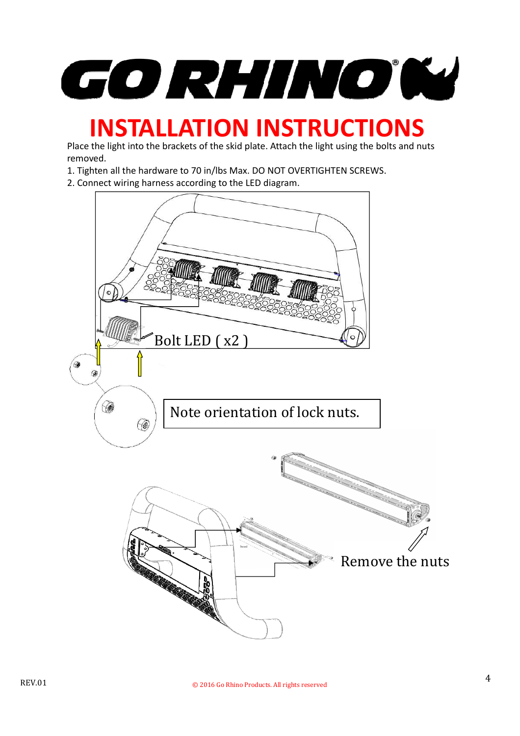GO RHINOW

# **INSTALLATION INSTRUCTIONS**

Place the light into the brackets of the skid plate. Attach the light using the bolts and nuts removed.

- 1. Tighten all the hardware to 70 in/lbs Max. DO NOT OVERTIGHTEN SCREWS.
- 2. Connect wiring harness according to the LED diagram.